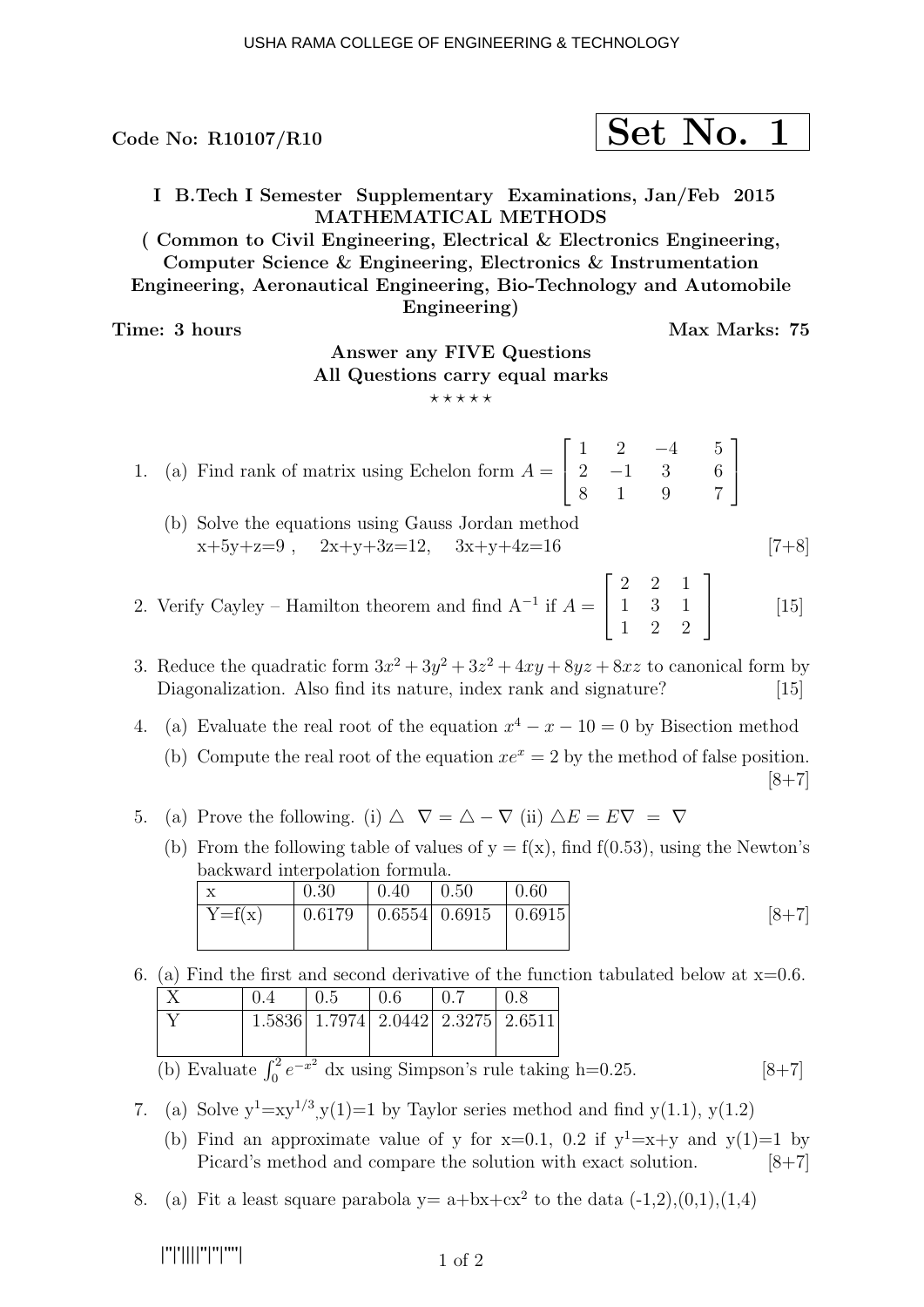$\rm{Code~No:~R10107/R10} \qquad \qquad \textcolor{red}{\textbf{Set}~No.~1}$ 

I B.Tech I Semester Supplementary Examinations, Jan/Feb 2015 MATHEMATICAL METHODS

( Common to Civil Engineering, Electrical & Electronics Engineering, Computer Science & Engineering, Electronics & Instrumentation Engineering, Aeronautical Engineering, Bio-Technology and Automobile Engineering)

Time: 3 hours Max Marks: 75

# Answer any FIVE Questions All Questions carry equal marks

 $***$ \*\*

1. (a) Find rank of matrix using Echelon form  $A =$  $\sqrt{ }$  $\overline{1}$ 1 2 −4  $2 -1 3$ 8 1 9 5 6 7 1  $\overline{1}$ 

- (b) Solve the equations using Gauss Jordan method  $x+5y+z=9$ ,  $2x+y+3z=12$ ,  $3x+y+4z=16$  [7+8]
- 2. Verify Cayley Hamilton theorem and find  $A^{-1}$  if  $A =$  $\sqrt{ }$  $\overline{\phantom{a}}$ 2 2 1 1 3 1 1 2 2 1  $[15]$
- 3. Reduce the quadratic form  $3x^2 + 3y^2 + 3z^2 + 4xy + 8yz + 8xz$  to canonical form by Diagonalization. Also find its nature, index rank and signature? [15]
- 4. (a) Evaluate the real root of the equation  $x^4 x 10 = 0$  by Bisection method
	- (b) Compute the real root of the equation  $xe^{x} = 2$  by the method of false position.  $[8+7]$
- 5. (a) Prove the following. (i)  $\triangle \nabla = \triangle \nabla$  (ii)  $\triangle E = E \nabla = \nabla$ 
	- (b) From the following table of values of  $y = f(x)$ , find  $f(0.53)$ , using the Newton's backward interpolation formula.

|          | 0.30                                      | $\pm 0.40$ | $\pm 0.50$ | $\mid$ 0.60 |           |
|----------|-------------------------------------------|------------|------------|-------------|-----------|
| $Y=f(x)$ | $0.6179$   $0.6554$   $0.6915$   $0.6915$ |            |            |             | $[8 + 7]$ |
|          |                                           |            |            |             |           |

6. (a) Find the first and second derivative of the function tabulated below at  $x=0.6$ .

| 0.4 | $\pm 0.5$ | $\pm 0.6$ | $\pm 0.7$ | $\pm 0.8$                                    |
|-----|-----------|-----------|-----------|----------------------------------------------|
|     |           |           |           | $1.5836$   1.7974   2.0442   2.3275   2.6511 |
|     |           |           |           |                                              |

(b) Evaluate  $\int_0^2 e^{-x^2} dx$  using Simpson's rule taking h=0.25. [8+7]

- 7. (a) Solve  $y^1 = xy^{1/3}$ ,  $y(1) = 1$  by Taylor series method and find  $y(1.1)$ ,  $y(1.2)$ 
	- (b) Find an approximate value of y for  $x=0.1$ , 0.2 if  $y<sup>1</sup>=x+y$  and  $y(1)=1$  by Picard's method and compare the solution with exact solution. [8+7]
- 8. (a) Fit a least square parabola  $y = a + bx + cx^2$  to the data  $(-1,2), (0,1), (1,4)$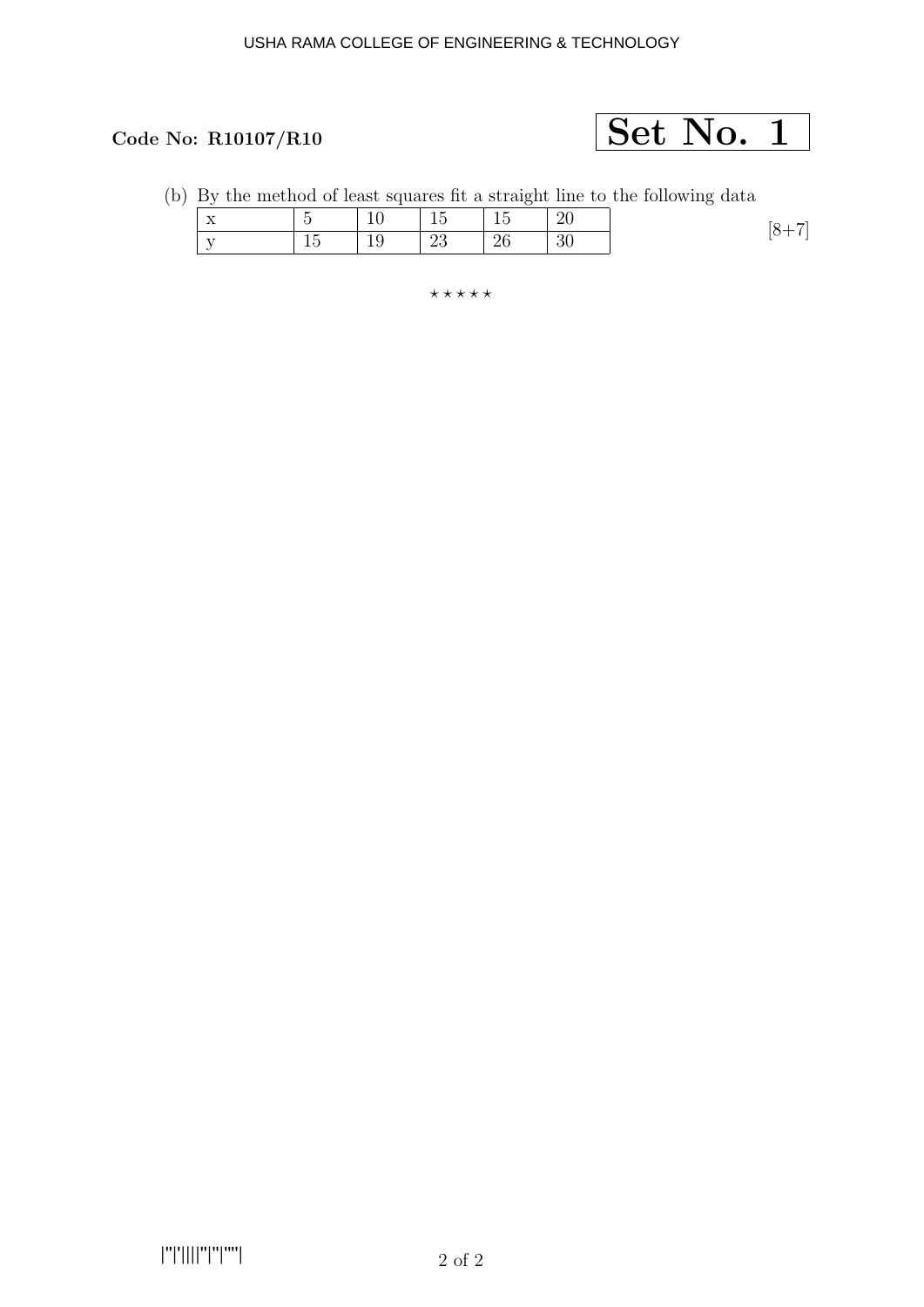### USHA RAMA COLLEGE OF ENGINEERING & TECHNOLOGY



(b) By the method of least squares fit a straight line to the following data

| $- -$<br>$\overline{A}$ | $\overline{\phantom{0}}$            | ᆂ  | --<br>-- | —<br>ΤÛ | ി<br>∠∪ |             |
|-------------------------|-------------------------------------|----|----------|---------|---------|-------------|
|                         | --<br>$\overline{1}$ $\overline{0}$ | エジ | റി<br>∠ບ | 26      | വ<br>ЭU | $\check{ }$ |

 $\star\star\star\star\star$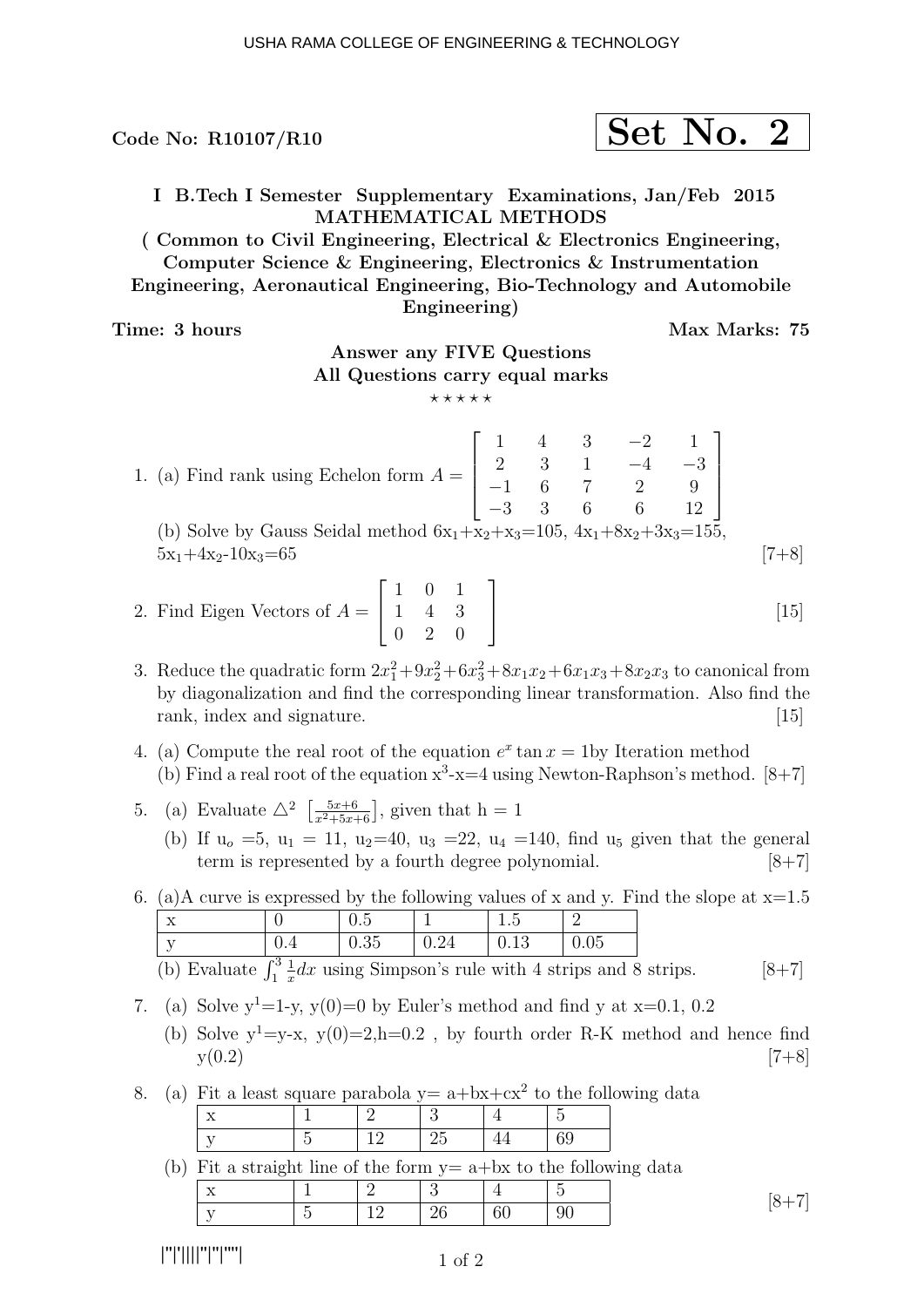Code No:  $R10107/R10$ 

$$
\fbox{Set No. 2}
$$

I B.Tech I Semester Supplementary Examinations, Jan/Feb 2015 MATHEMATICAL METHODS

( Common to Civil Engineering, Electrical & Electronics Engineering, Computer Science & Engineering, Electronics & Instrumentation Engineering, Aeronautical Engineering, Bio-Technology and Automobile Engineering)

Time: 3 hours Max Marks: 75

## Answer any FIVE Questions All Questions carry equal marks

 $***$ \*\*

- 1. (a) Find rank using Echelon form  $A =$  $\sqrt{ }$  $\Bigg\}$ 1 2 −1 −3 4 3 6 3 3 1 7 6 −2 −4 2 6 1 −3 9 12 1  $\begin{array}{c} \hline \end{array}$ (b) Solve by Gauss Seidal method  $6x_1+x_2+x_3=105$ ,  $4x_1+8$  $5x_1+4x_2-10x_3=65$  [7+8]
- 2. Find Eigen Vectors of  $A =$  $\sqrt{ }$  $\overline{\phantom{a}}$ 1 0 1 1 4 3 0 2 0 1 [15]
- 3. Reduce the quadratic form  $2x_1^2 + 9x_2^2 + 6x_3^2 + 8x_1x_2 + 6x_1x_3 + 8x_2x_3$  to canonical from by diagonalization and find the corresponding linear transformation. Also find the rank, index and signature. [15]
- 4. (a) Compute the real root of the equation  $e^x \tan x = 1$  ly Iteration method (b) Find a real root of the equation  $x^3$ -x=4 using Newton-Raphson's method. [8+7]
- 5. (a) Evaluate  $\triangle^2$   $\left[\frac{5x+6}{x^2+5x+6}\right]$ , given that  $h = 1$ 
	- (b) If  $u_0 = 5$ ,  $u_1 = 11$ ,  $u_2 = 40$ ,  $u_3 = 22$ ,  $u_4 = 140$ , find  $u_5$  given that the general term is represented by a fourth degree polynomial.  $[8+7]$

6. (a)A curve is expressed by the following values of x and y. Find the slope at  $x=1.5$ 

| $\sim$ $\sim$<br>$\overline{ }$ |     | -<br>v.∪             | $\overline{\phantom{0}}$ | -<br>⊥∙∪ | $\overline{\phantom{0}}$ |
|---------------------------------|-----|----------------------|--------------------------|----------|--------------------------|
|                                 | v.4 | $\sim$ $\sim$<br>∪⊶ບ | ∪.∠±                     | ∪.⊥∪     | $\sim$ $\sim$<br>v.vo    |

(b) Evaluate  $\int_1^3$  $\frac{1}{x}dx$  using Simpson's rule with 4 strips and 8 strips. [8+7]

- 7. (a) Solve  $y^1=1-y$ ,  $y(0)=0$  by Euler's method and find y at  $x=0.1$ , 0.2
	- (b) Solve  $y^1 = y-x$ ,  $y(0) = 2$ , h=0.2, by fourth order R-K method and hence find  $y(0.2)$  [7+8]

8. (a) Fit a least square parabola  $y = a + bx + cx^2$  to the following data

(b) Fit a straight line of the form  $y = a + bx$  to the following data

| $-$<br>-43-<br>$-$ |   | —    |   |    | -- |  |
|--------------------|---|------|---|----|----|--|
| . .                | - | $ -$ | ້ | vv | 90 |  |

|''|'||||''|''|''''|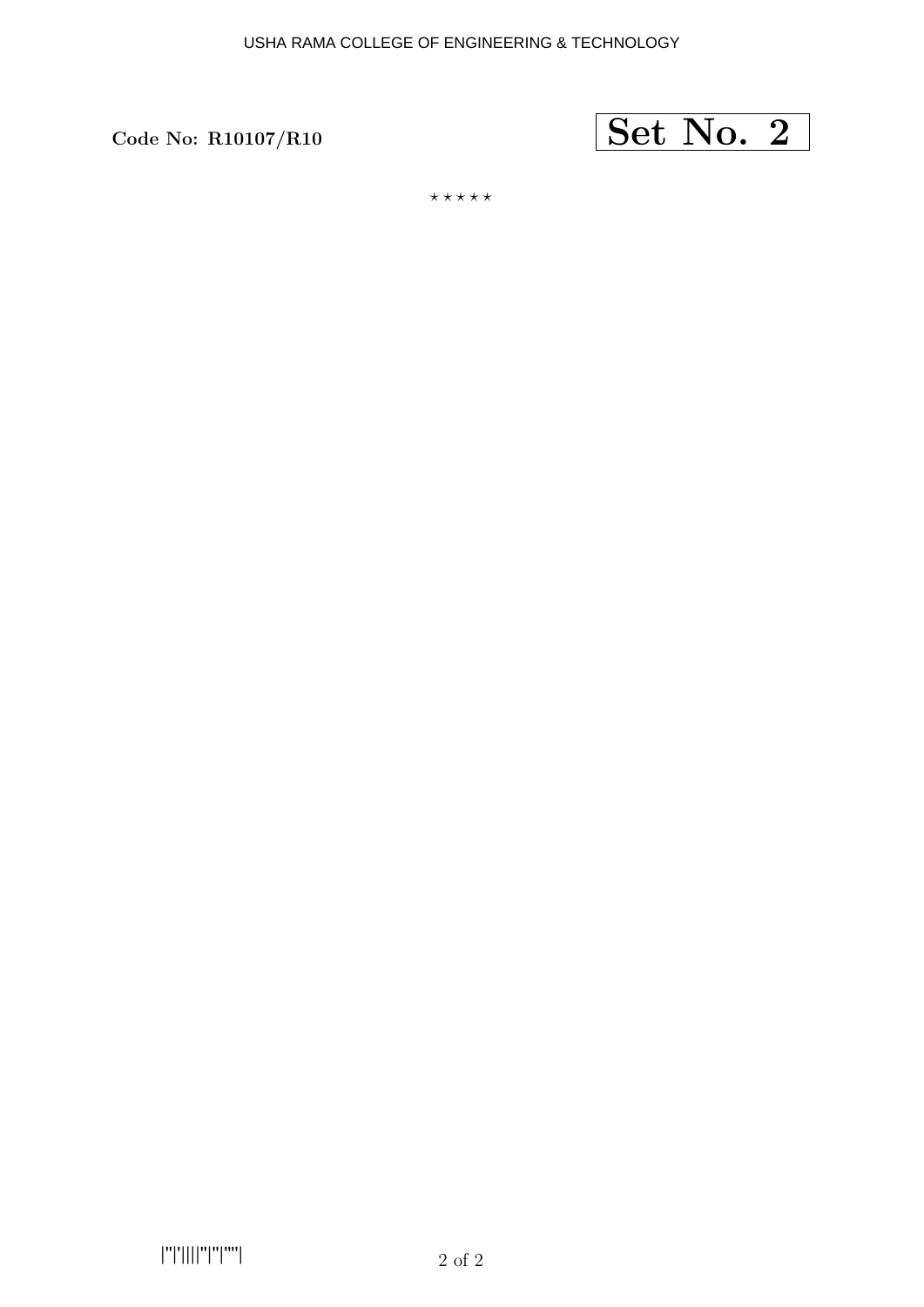

 $***$ \*\*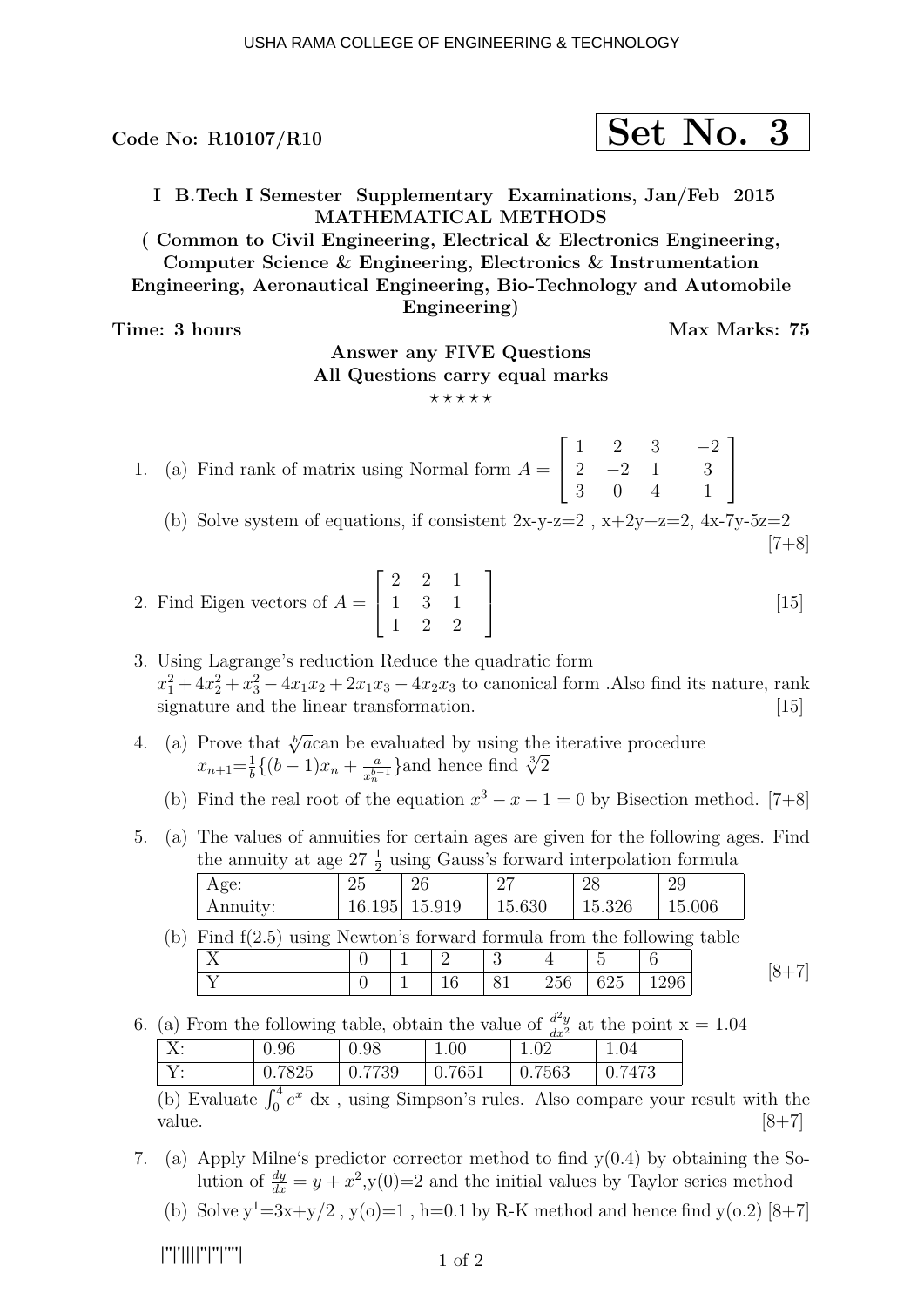Code No: R10107/R10  $\vert$  Set No. 3

I B.Tech I Semester Supplementary Examinations, Jan/Feb 2015 MATHEMATICAL METHODS

( Common to Civil Engineering, Electrical & Electronics Engineering, Computer Science & Engineering, Electronics & Instrumentation Engineering, Aeronautical Engineering, Bio-Technology and Automobile Engineering)

Time: 3 hours Max Marks: 75

## Answer any FIVE Questions All Questions carry equal marks

 $***$ \*\*

1. (a) Find rank of matrix using Normal form  $A =$  $\sqrt{ }$  $\overline{\phantom{a}}$ 1 2 3  $2 -2 1$ 3 0 4  $-2$ 3 1 1  $\overline{1}$ 

(b) Solve system of equations, if consistent  $2x-y-z=2$ ,  $x+2y+z=2$ ,  $4x-7y-5z=2$  $[7+8]$ 

- 2. Find Eigen vectors of  $A =$  $\sqrt{ }$  $\overline{1}$ 2 2 1 1 3 1 1 2 2 1 [15]
- 3. Using Lagrange's reduction Reduce the quadratic form  $x_1^2 + 4x_2^2 + x_3^2 - 4x_1x_2 + 2x_1x_3 - 4x_2x_3$  to canonical form . Also find its nature, rank signature and the linear transformation. [15]
- 4. (a) Prove that  $\sqrt[k]{a}$  can be evaluated by using the iterative procedure  $x_{n+1} = \frac{1}{b}$  $\frac{1}{b} \{ (b-1)x_n + \frac{a}{x_n^{b-1}} \}$  $\frac{a}{x_n^{b-1}}$ }and hence find  $\sqrt[3]{2}$ 
	- (b) Find the real root of the equation  $x^3 x 1 = 0$  by Bisection method. [7+8]
- 5. (a) The values of annuities for certain ages are given for the following ages. Find the annuity at age  $27\,\frac{1}{2}$  using Gauss's forward interpolation formula

| $\overline{\phantom{a}}$ |          | $\overline{\phantom{a}}$ |        | __     |        |
|--------------------------|----------|--------------------------|--------|--------|--------|
| Age:                     | າເ<br>∠ປ | 26                       | $\sim$ | 28     | 29     |
| Annuity:                 | 16.195   | 15.919                   | 15.630 | 15.326 | 15.006 |
|                          |          |                          |        |        |        |

(b) Find f(2.5) using Newton's forward formula from the following table X 0 1 2 3 4 5 6  $\overline{Y}$  0 1 16 81 256 625 1296 [8+7]

6. (a) From the following table, obtain the value of  $\frac{d^2y}{dx^2}$  at the point  $x = 1.04$ 

| $\mathbf{V}$<br>7651<br>7563<br>473<br>7739<br>7895<br>0.7<br>0.7<br>U. (<br>౦∠౦ | $\mathbf{r}$<br>Δ. | $0.96\,$ | 0.98 | 1.00 | 1.02 | 1.04 |
|----------------------------------------------------------------------------------|--------------------|----------|------|------|------|------|
|                                                                                  |                    |          |      |      |      |      |

<sup>(</sup>b) Evaluate  $\int_0^4 e^x dx$ , using Simpson's rules. Also compare your result with the value.  $[8+7]$ 

- 7. (a) Apply Milne's predictor corrector method to find y(0.4) by obtaining the Solution of  $\frac{dy}{dx} = y + x^2$ , y(0)=2 and the initial values by Taylor series method
	- (b) Solve  $y^1=3x+y/2$ ,  $y(o)=1$ , h=0.1 by R-K method and hence find  $y(o.2)$  [8+7]

|''|'||||''|''|''''|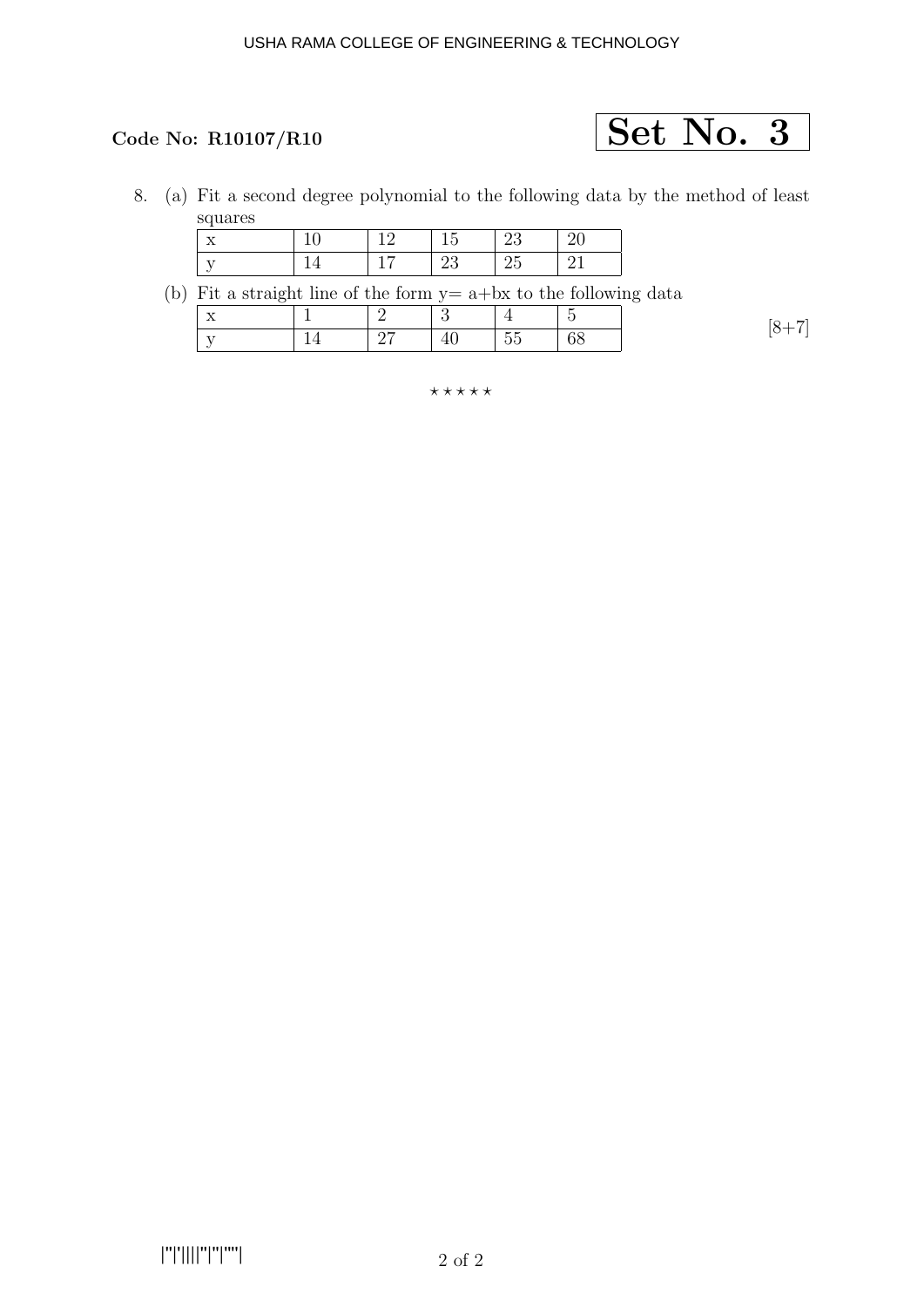### USHA RAMA COLLEGE OF ENGINEERING & TECHNOLOGY



8. (a) Fit a second degree polynomial to the following data by the method of least squares

(b) Fit a straight line of the form  $y= a+bx$  to the following data

| $ -$<br>$\overline{ }$ | -<br>-                               |    |                    | -               | <b>.</b> |
|------------------------|--------------------------------------|----|--------------------|-----------------|----------|
|                        | $\Omega$<br>$\overline{\phantom{0}}$ | ŦĄ | --<br>$\sim$<br>ບບ | п.<br><u>vo</u> | ◡        |

 $***$ \*\*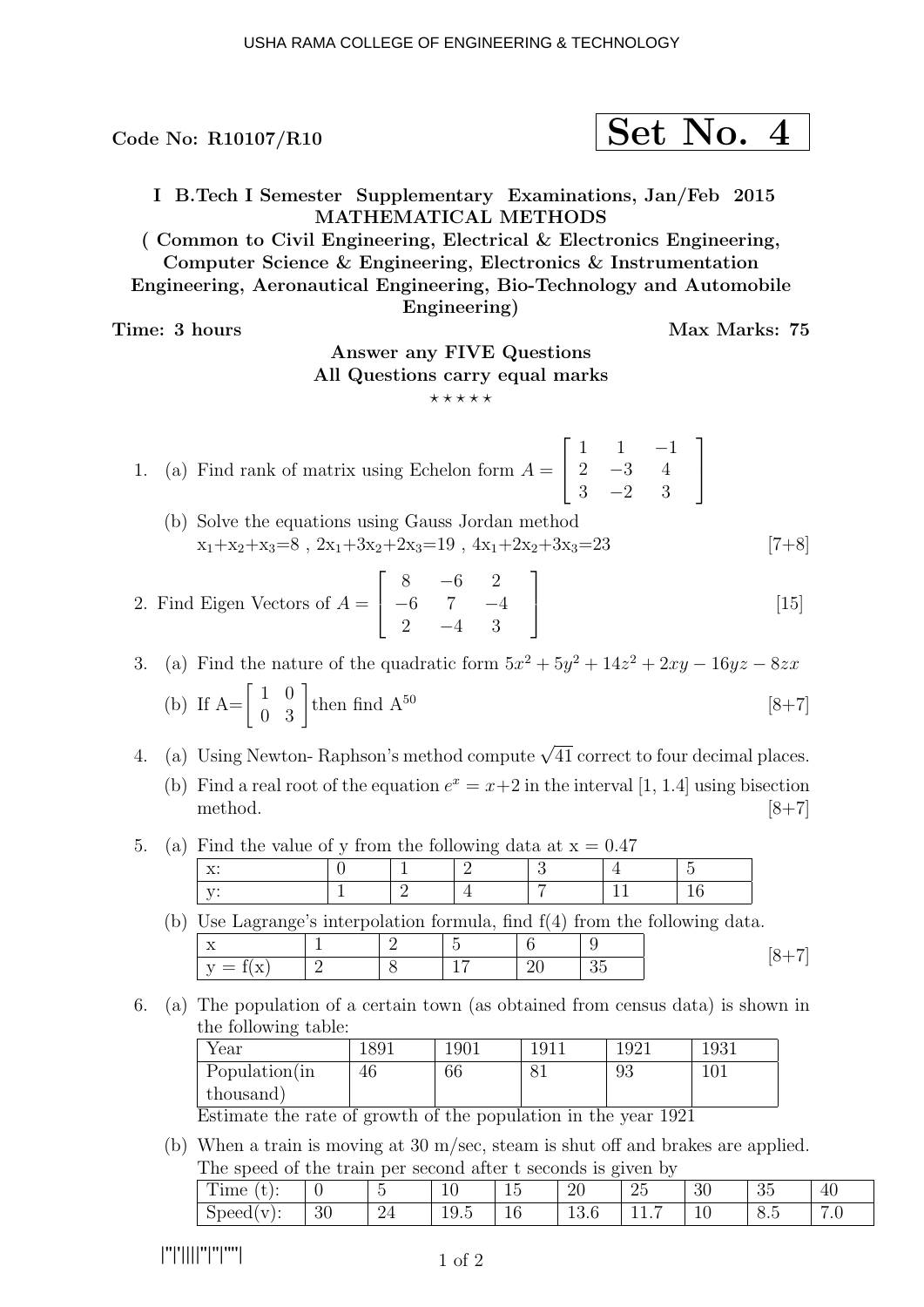I B.Tech I Semester Supplementary Examinations, Jan/Feb 2015 MATHEMATICAL METHODS

( Common to Civil Engineering, Electrical & Electronics Engineering, Computer Science & Engineering, Electronics & Instrumentation Engineering, Aeronautical Engineering, Bio-Technology and Automobile Engineering)

Time: 3 hours Max Marks: 75

# Answer any FIVE Questions All Questions carry equal marks

 $***$ \*\*

- 1. (a) Find rank of matrix using Echelon form  $A =$  $\sqrt{ }$  $\overline{\phantom{a}}$  $\frac{1}{2}$   $\frac{1}{2}$   $\frac{-1}{4}$  $\begin{array}{ccc} 2 & -3 & 4 \\ 2 & 2 & 3 \end{array}$  $3 -2 3$ 
	- (b) Solve the equations using Gauss Jordan method  $x_1+x_2+x_3=8$ ,  $2x_1+3x_2+2x_3=19$ ,  $4x_1+2x_2+3x_3=23$  [7+8]
- 2. Find Eigen Vectors of  $A =$  $\sqrt{ }$  $\overline{\phantom{a}}$  $\begin{matrix}8 & -6 & 2\\ 6 & 7 & 5\end{matrix}$ <sup>−</sup>6 7 <sup>−</sup><sup>4</sup> 2  $-4$  3 1 [15]

3. (a) Find the nature of the quadratic form  $5x^2 + 5y^2 + 14z^2 + 2xy - 16yz - 8zx$ (b) If  $A = \begin{bmatrix} 1 & 0 \\ 0 & 3 \end{bmatrix}$  then find  $A^{50}$  [8+7]

- 4. (a) Using Newton-Raphson's method compute  $\sqrt{41}$  correct to four decimal places.
	- (b) Find a real root of the equation  $e^x = x+2$  in the interval [1, 1.4] using bisection method.  $[8+7]$

|  | 5. (a) Find the value of y from the following data at $x = 0.47$ |  |  |  |  |  |  |  |  |  |
|--|------------------------------------------------------------------|--|--|--|--|--|--|--|--|--|
|  | $\mathbf{v}$                                                     |  |  |  |  |  |  |  |  |  |
|  |                                                                  |  |  |  |  |  |  |  |  |  |

(b) Use Lagrange's interpolation formula, find f(4) from the following data. x  $1 \t 2 \t 5 \t 6 \t 9$  $\frac{x}{y = f(x)}$  2 8 17 20 35 [8+7]

6. (a) The population of a certain town (as obtained from census data) is shown in the following table:

| Year                                                           | '891 | 1901 | 1911 | 1921 | 1931 |
|----------------------------------------------------------------|------|------|------|------|------|
| Population (in                                                 | 46   | 66   |      | 93   |      |
| thousand                                                       |      |      |      |      |      |
| Estimate the rate of growth of the penulation in the year 1001 |      |      |      |      |      |

Estimate the rate of growth of the population in the year 1921

(b) When a train is moving at 30 m/sec, steam is shut off and brakes are applied. The speed of the train per second after t seconds is given by

| $\mathbf{m}$<br>ïme<br>υ.                 |           | -                    | C<br>ΤÛ                     | $\tilde{\phantom{a}}$<br>ŦΩ | റ∩<br>∠∪         | o۳<br>∠ບ   | ററ<br>৩∪       | $\Omega$ $\sim$<br>ಀಀ | 46              |
|-------------------------------------------|-----------|----------------------|-----------------------------|-----------------------------|------------------|------------|----------------|-----------------------|-----------------|
| ∼<br>T<br>Speed<br>$\sqrt{ }$<br><b>.</b> | ററ<br>-30 | $\sim$<br>∠≖<br>$ -$ | $\Omega$<br>--<br>v<br>エフ・ワ | $\sim$<br>ΤO                | $\Omega$<br>10.U | <b>LL.</b> | <b>A</b><br>ΙV | -<br>ం.౦              | $\cdot$ $\circ$ |

|''|'||||''|''|''''|

Code No: R10107/R10  $\left|\int \int \mathbf{Set} \, \mathbf{No.} \, 4\right|$ 

1

 $\overline{\phantom{a}}$